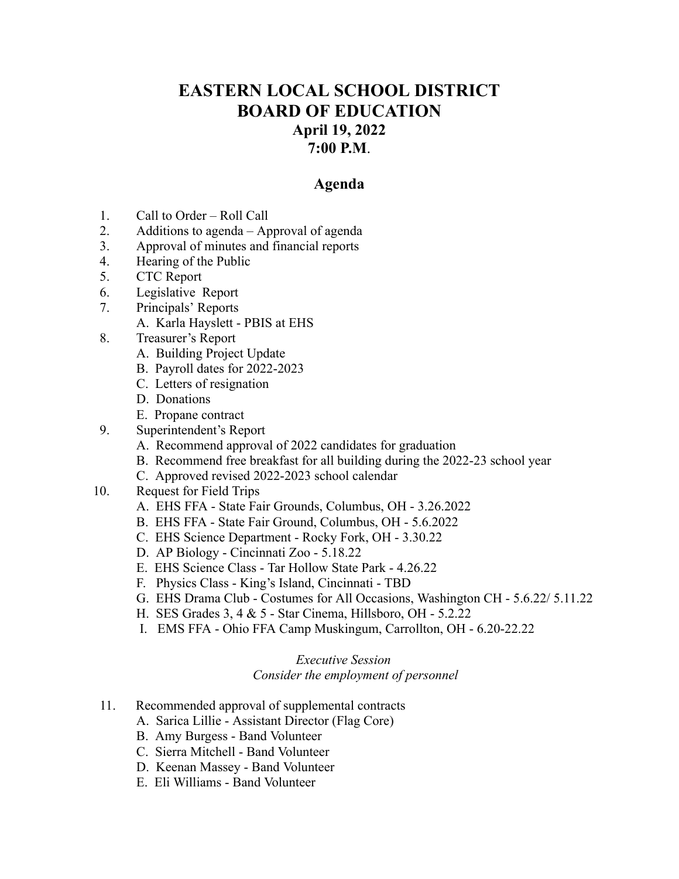## **EASTERN LOCAL SCHOOL DISTRICT BOARD OF EDUCATION April 19, 2022 7:00 P.M**.

## **Agenda**

- 1. Call to Order Roll Call
- 2. Additions to agenda Approval of agenda
- 3. Approval of minutes and financial reports
- 4. Hearing of the Public
- 5. CTC Report
- 6. Legislative Report
- 7. Principals' Reports
	- A. Karla Hayslett PBIS at EHS
- 8. Treasurer's Report
	- A. Building Project Update
	- B. Payroll dates for 2022-2023
	- C. Letters of resignation
	- D. Donations
	- E. Propane contract
- 9. Superintendent's Report
	- A. Recommend approval of 2022 candidates for graduation
	- B. Recommend free breakfast for all building during the 2022-23 school year
	- C. Approved revised 2022-2023 school calendar
- 10. Request for Field Trips
	- A. EHS FFA State Fair Grounds, Columbus, OH 3.26.2022
	- B. EHS FFA State Fair Ground, Columbus, OH 5.6.2022
	- C. EHS Science Department Rocky Fork, OH 3.30.22
	- D. AP Biology Cincinnati Zoo 5.18.22
	- E. EHS Science Class Tar Hollow State Park 4.26.22
	- F. Physics Class King's Island, Cincinnati TBD
	- G. EHS Drama Club Costumes for All Occasions, Washington CH 5.6.22/ 5.11.22
	- H. SES Grades 3, 4 & 5 Star Cinema, Hillsboro, OH 5.2.22
	- I. EMS FFA Ohio FFA Camp Muskingum, Carrollton, OH 6.20-22.22

## *Executive Session Consider the employment of personnel*

- 11. Recommended approval of supplemental contracts
	- A. Sarica Lillie Assistant Director (Flag Core)
	- B. Amy Burgess Band Volunteer
	- C. Sierra Mitchell Band Volunteer
	- D. Keenan Massey Band Volunteer
	- E. Eli Williams Band Volunteer